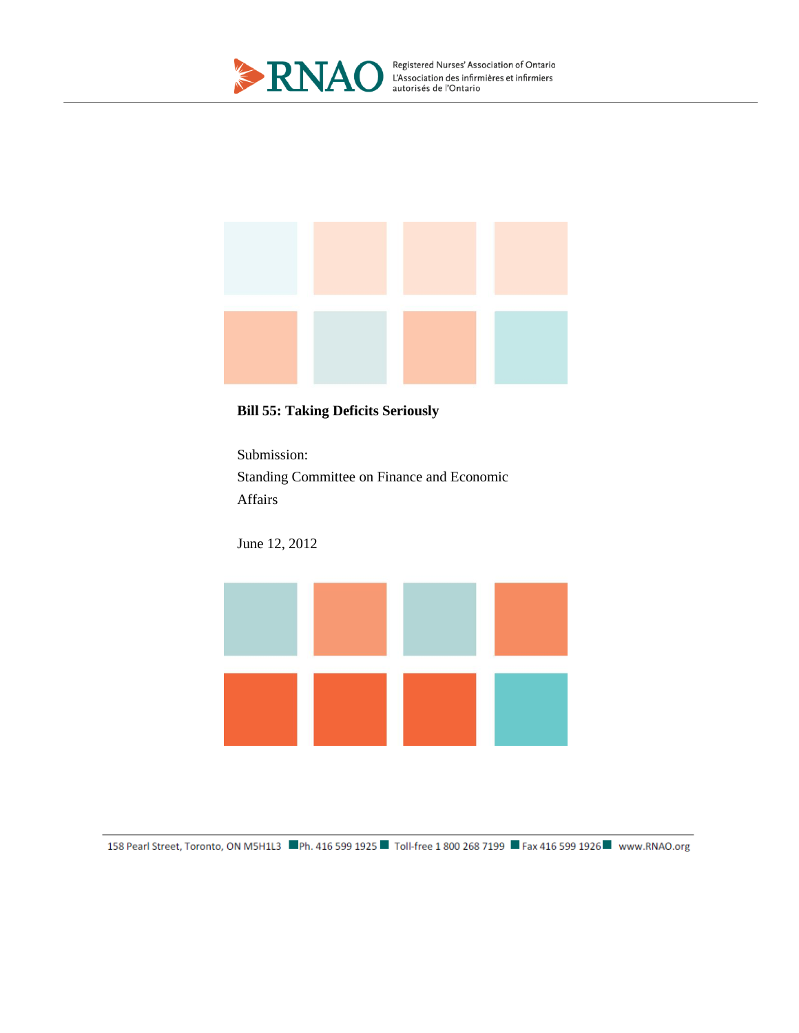



## **Bill 55: Taking Deficits Seriously**

Submission: Standing Committee on Finance and Economic Affairs

June 12, 2012

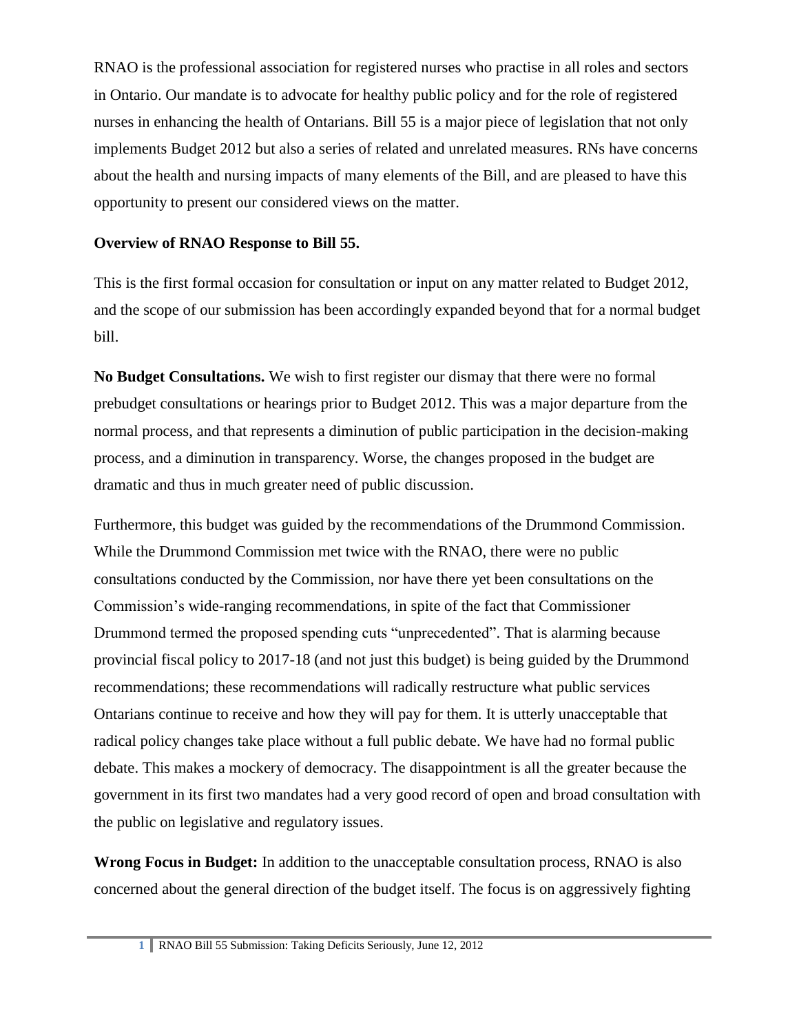RNAO is the professional association for registered nurses who practise in all roles and sectors in Ontario. Our mandate is to advocate for healthy public policy and for the role of registered nurses in enhancing the health of Ontarians. Bill 55 is a major piece of legislation that not only implements Budget 2012 but also a series of related and unrelated measures. RNs have concerns about the health and nursing impacts of many elements of the Bill, and are pleased to have this opportunity to present our considered views on the matter.

## **Overview of RNAO Response to Bill 55.**

This is the first formal occasion for consultation or input on any matter related to Budget 2012, and the scope of our submission has been accordingly expanded beyond that for a normal budget bill.

**No Budget Consultations.** We wish to first register our dismay that there were no formal prebudget consultations or hearings prior to Budget 2012. This was a major departure from the normal process, and that represents a diminution of public participation in the decision-making process, and a diminution in transparency. Worse, the changes proposed in the budget are dramatic and thus in much greater need of public discussion.

Furthermore, this budget was guided by the recommendations of the Drummond Commission. While the Drummond Commission met twice with the RNAO, there were no public consultations conducted by the Commission, nor have there yet been consultations on the Commission's wide-ranging recommendations, in spite of the fact that Commissioner Drummond termed the proposed spending cuts "unprecedented". That is alarming because provincial fiscal policy to 2017-18 (and not just this budget) is being guided by the Drummond recommendations; these recommendations will radically restructure what public services Ontarians continue to receive and how they will pay for them. It is utterly unacceptable that radical policy changes take place without a full public debate. We have had no formal public debate. This makes a mockery of democracy. The disappointment is all the greater because the government in its first two mandates had a very good record of open and broad consultation with the public on legislative and regulatory issues.

**Wrong Focus in Budget:** In addition to the unacceptable consultation process, RNAO is also concerned about the general direction of the budget itself. The focus is on aggressively fighting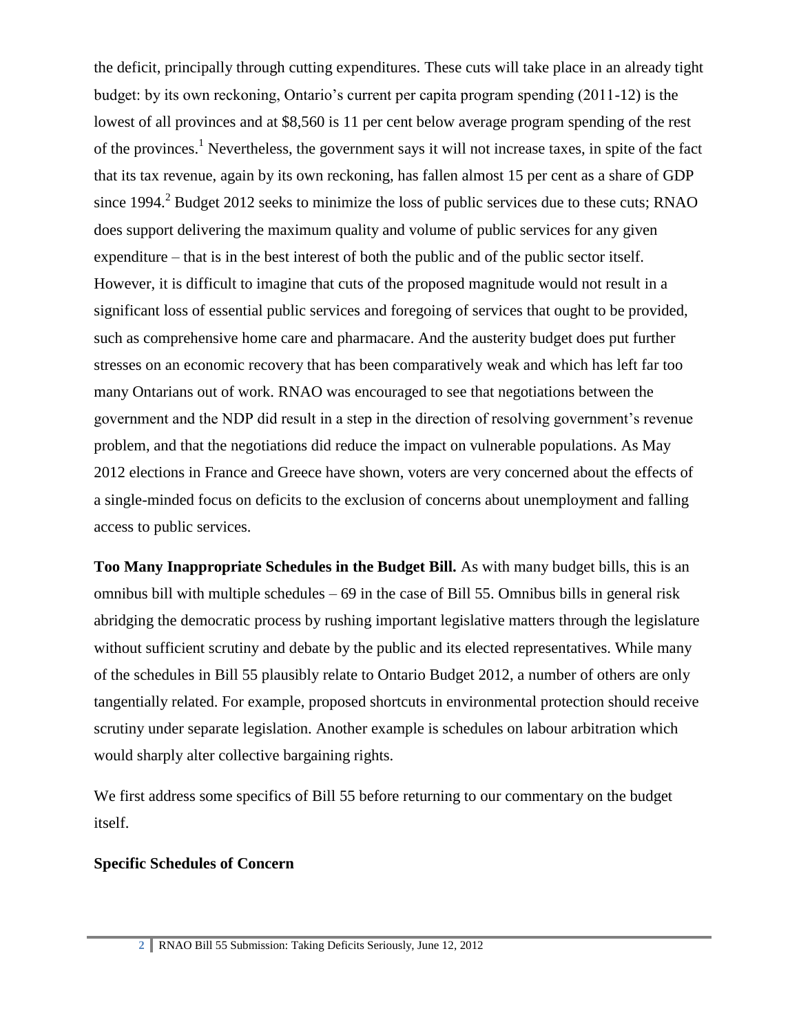the deficit, principally through cutting expenditures. These cuts will take place in an already tight budget: by its own reckoning, Ontario's current per capita program spending (2011-12) is the lowest of all provinces and at \$8,560 is 11 per cent below average program spending of the rest of the provinces.<sup>1</sup> Nevertheless, the government says it will not increase taxes, in spite of the fact that its tax revenue, again by its own reckoning, has fallen almost 15 per cent as a share of GDP since  $1994<sup>2</sup>$  Budget  $2012$  seeks to minimize the loss of public services due to these cuts; RNAO does support delivering the maximum quality and volume of public services for any given expenditure – that is in the best interest of both the public and of the public sector itself. However, it is difficult to imagine that cuts of the proposed magnitude would not result in a significant loss of essential public services and foregoing of services that ought to be provided, such as comprehensive home care and pharmacare. And the austerity budget does put further stresses on an economic recovery that has been comparatively weak and which has left far too many Ontarians out of work. RNAO was encouraged to see that negotiations between the government and the NDP did result in a step in the direction of resolving government's revenue problem, and that the negotiations did reduce the impact on vulnerable populations. As May 2012 elections in France and Greece have shown, voters are very concerned about the effects of a single-minded focus on deficits to the exclusion of concerns about unemployment and falling access to public services.

**Too Many Inappropriate Schedules in the Budget Bill.** As with many budget bills, this is an omnibus bill with multiple schedules  $-69$  in the case of Bill 55. Omnibus bills in general risk abridging the democratic process by rushing important legislative matters through the legislature without sufficient scrutiny and debate by the public and its elected representatives. While many of the schedules in Bill 55 plausibly relate to Ontario Budget 2012, a number of others are only tangentially related. For example, proposed shortcuts in environmental protection should receive scrutiny under separate legislation. Another example is schedules on labour arbitration which would sharply alter collective bargaining rights.

We first address some specifics of Bill 55 before returning to our commentary on the budget itself.

#### **Specific Schedules of Concern**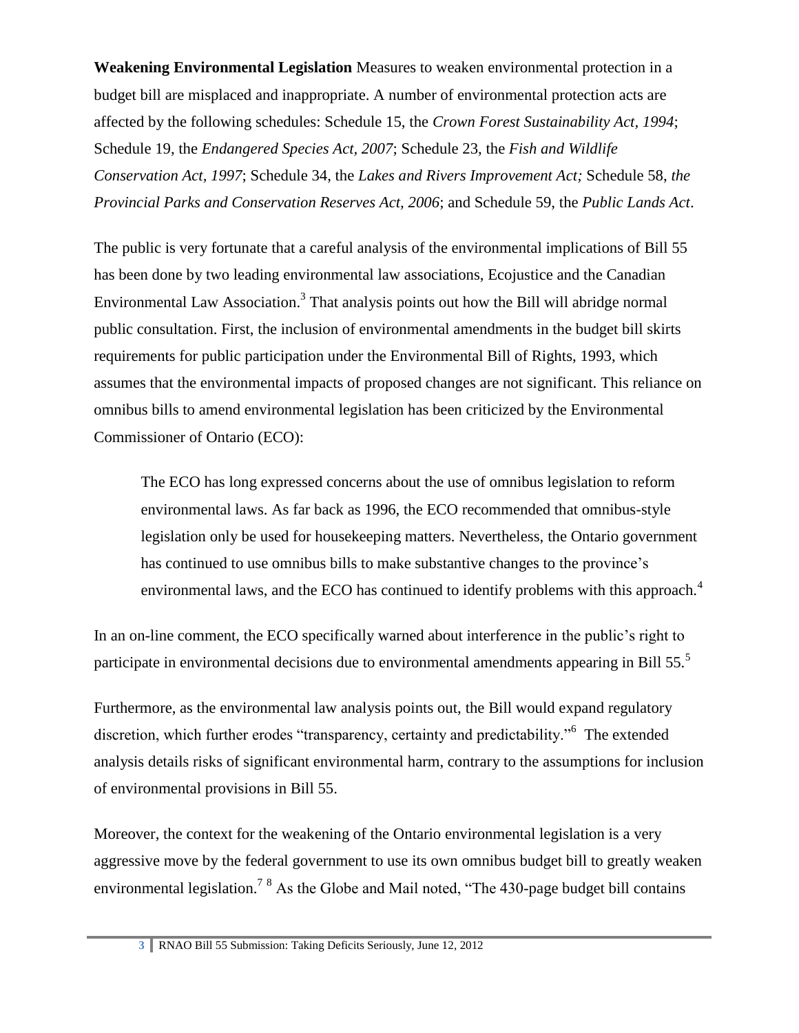**Weakening Environmental Legislation** Measures to weaken environmental protection in a budget bill are misplaced and inappropriate. A number of environmental protection acts are affected by the following schedules: Schedule 15, the *Crown Forest Sustainability Act, 1994*; Schedule 19, the *Endangered Species Act, 2007*; Schedule 23, the *Fish and Wildlife Conservation Act, 1997*; Schedule 34, the *Lakes and Rivers Improvement Act;* Schedule 58, *the Provincial Parks and Conservation Reserves Act, 2006*; and Schedule 59, the *Public Lands Act*.

The public is very fortunate that a careful analysis of the environmental implications of Bill 55 has been done by two leading environmental law associations, Ecojustice and the Canadian Environmental Law Association.<sup>3</sup> That analysis points out how the Bill will abridge normal public consultation. First, the inclusion of environmental amendments in the budget bill skirts requirements for public participation under the Environmental Bill of Rights, 1993, which assumes that the environmental impacts of proposed changes are not significant. This reliance on omnibus bills to amend environmental legislation has been criticized by the Environmental Commissioner of Ontario (ECO):

The ECO has long expressed concerns about the use of omnibus legislation to reform environmental laws. As far back as 1996, the ECO recommended that omnibus-style legislation only be used for housekeeping matters. Nevertheless, the Ontario government has continued to use omnibus bills to make substantive changes to the province's environmental laws, and the ECO has continued to identify problems with this approach.<sup>4</sup>

In an on-line comment, the ECO specifically warned about interference in the public's right to participate in environmental decisions due to environmental amendments appearing in Bill 55.<sup>5</sup>

Furthermore, as the environmental law analysis points out, the Bill would expand regulatory discretion, which further erodes "transparency, certainty and predictability."<sup>6</sup> The extended analysis details risks of significant environmental harm, contrary to the assumptions for inclusion of environmental provisions in Bill 55.

Moreover, the context for the weakening of the Ontario environmental legislation is a very aggressive move by the federal government to use its own omnibus budget bill to greatly weaken environmental legislation.<sup>7 8</sup> As the Globe and Mail noted, "The 430-page budget bill contains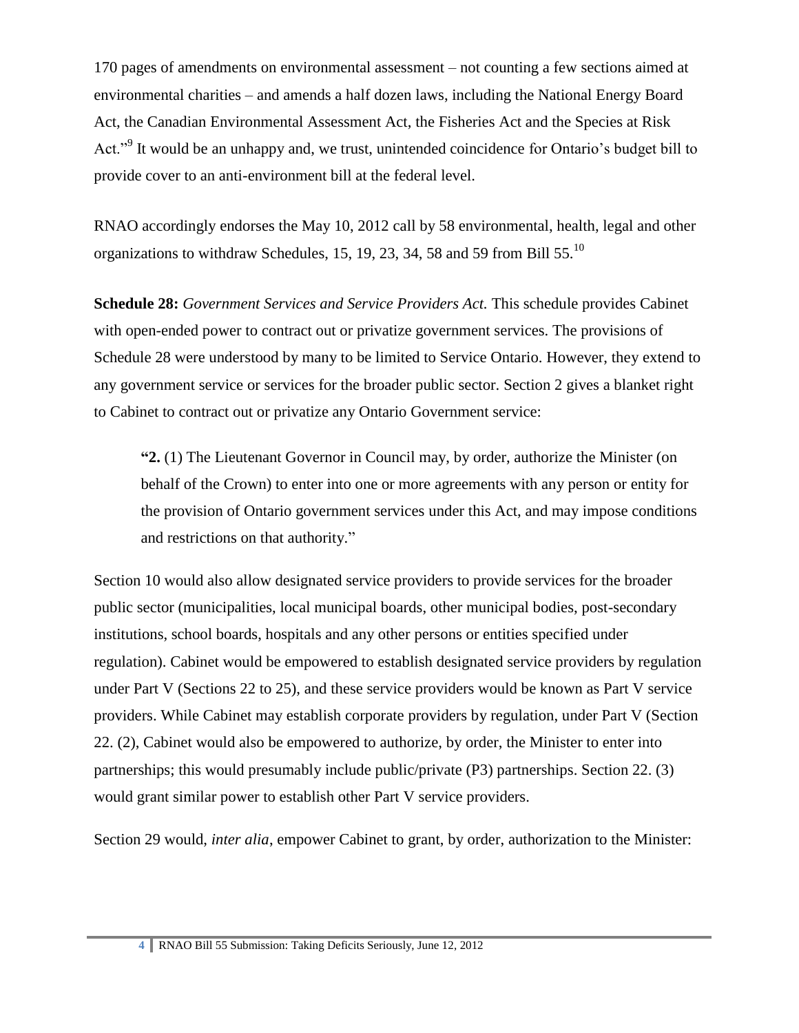170 pages of amendments on environmental assessment – not counting a few sections aimed at environmental charities – and amends a half dozen laws, including the National Energy Board Act, the Canadian Environmental Assessment Act, the Fisheries Act and the Species at Risk Act."<sup>9</sup> It would be an unhappy and, we trust, unintended coincidence for Ontario's budget bill to provide cover to an anti-environment bill at the federal level.

RNAO accordingly endorses the May 10, 2012 call by 58 environmental, health, legal and other organizations to withdraw Schedules, 15, 19, 23, 34, 58 and 59 from Bill 55.<sup>10</sup>

**Schedule 28:** *Government Services and Service Providers Act.* This schedule provides Cabinet with open-ended power to contract out or privatize government services. The provisions of Schedule 28 were understood by many to be limited to Service Ontario. However, they extend to any government service or services for the broader public sector. Section 2 gives a blanket right to Cabinet to contract out or privatize any Ontario Government service:

**"2.** (1) The Lieutenant Governor in Council may, by order, authorize the Minister (on behalf of the Crown) to enter into one or more agreements with any person or entity for the provision of Ontario government services under this Act, and may impose conditions and restrictions on that authority."

Section 10 would also allow designated service providers to provide services for the broader public sector (municipalities, local municipal boards, other municipal bodies, post-secondary institutions, school boards, hospitals and any other persons or entities specified under regulation). Cabinet would be empowered to establish designated service providers by regulation under Part V (Sections 22 to 25), and these service providers would be known as Part V service providers. While Cabinet may establish corporate providers by regulation, under Part V (Section 22. (2), Cabinet would also be empowered to authorize, by order, the Minister to enter into partnerships; this would presumably include public/private (P3) partnerships. Section 22. (3) would grant similar power to establish other Part V service providers.

Section 29 would, *inter alia*, empower Cabinet to grant, by order, authorization to the Minister: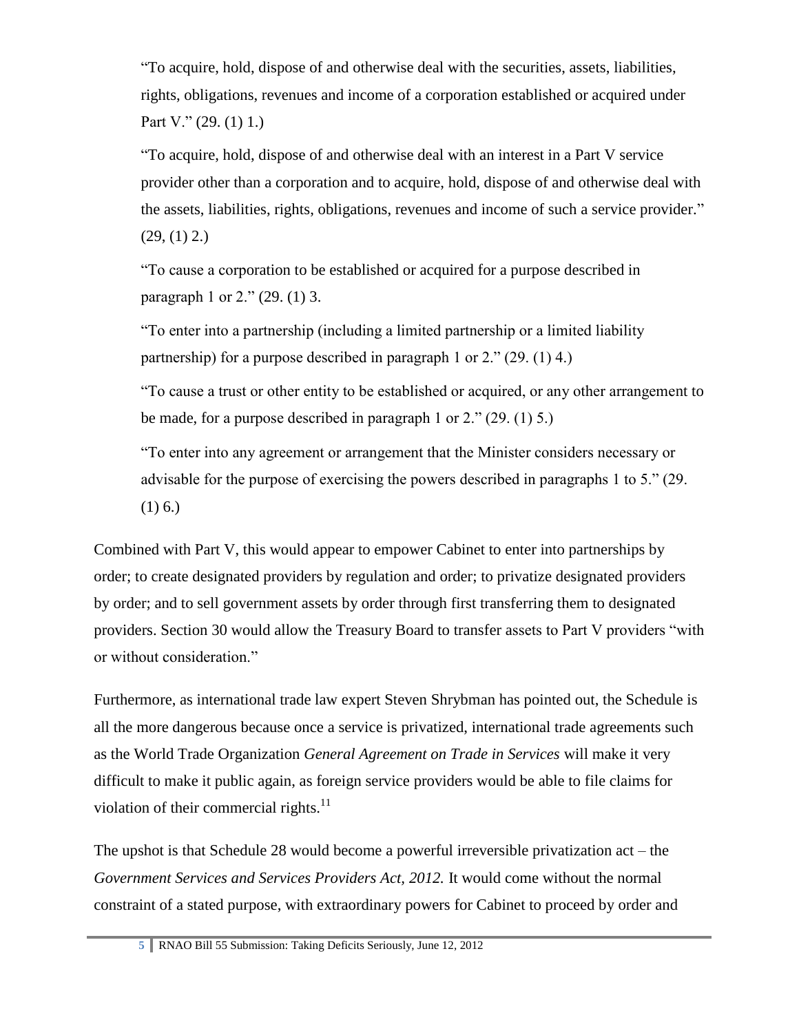"To acquire, hold, dispose of and otherwise deal with the securities, assets, liabilities, rights, obligations, revenues and income of a corporation established or acquired under Part V." (29. (1) 1.)

"To acquire, hold, dispose of and otherwise deal with an interest in a Part V service provider other than a corporation and to acquire, hold, dispose of and otherwise deal with the assets, liabilities, rights, obligations, revenues and income of such a service provider."  $(29, (1) 2.)$ 

"To cause a corporation to be established or acquired for a purpose described in paragraph 1 or 2." (29. (1) 3.

"To enter into a partnership (including a limited partnership or a limited liability partnership) for a purpose described in paragraph 1 or 2." (29. (1) 4.)

"To cause a trust or other entity to be established or acquired, or any other arrangement to be made, for a purpose described in paragraph 1 or 2." (29. (1) 5.)

"To enter into any agreement or arrangement that the Minister considers necessary or advisable for the purpose of exercising the powers described in paragraphs 1 to 5." (29.  $(1)$  6.)

Combined with Part V, this would appear to empower Cabinet to enter into partnerships by order; to create designated providers by regulation and order; to privatize designated providers by order; and to sell government assets by order through first transferring them to designated providers. Section 30 would allow the Treasury Board to transfer assets to Part V providers "with or without consideration."

Furthermore, as international trade law expert Steven Shrybman has pointed out, the Schedule is all the more dangerous because once a service is privatized, international trade agreements such as the World Trade Organization *General Agreement on Trade in Services* will make it very difficult to make it public again, as foreign service providers would be able to file claims for violation of their commercial rights. $^{11}$ 

The upshot is that Schedule 28 would become a powerful irreversible privatization act – the *Government Services and Services Providers Act, 2012.* It would come without the normal constraint of a stated purpose, with extraordinary powers for Cabinet to proceed by order and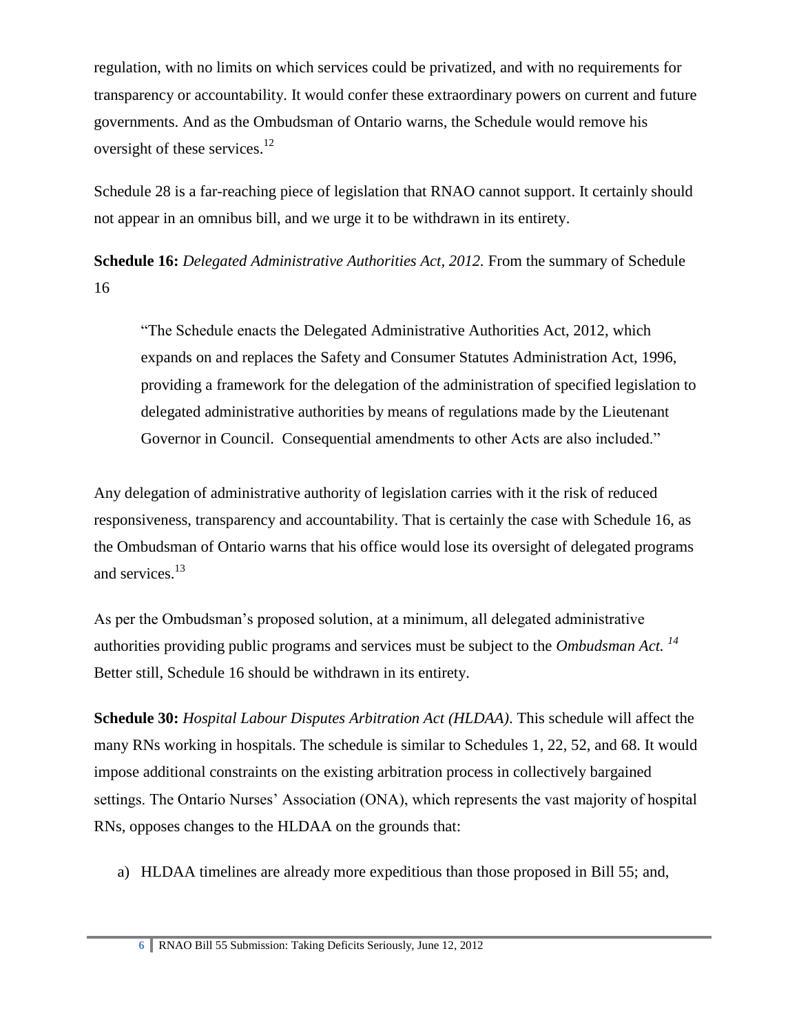regulation, with no limits on which services could be privatized, and with no requirements for transparency or accountability. It would confer these extraordinary powers on current and future governments. And as the Ombudsman of Ontario warns, the Schedule would remove his oversight of these services. $12$ 

Schedule 28 is a far-reaching piece of legislation that RNAO cannot support. It certainly should not appear in an omnibus bill, and we urge it to be withdrawn in its entirety.

**Schedule 16:** *Delegated Administrative Authorities Act, 2012.* From the summary of Schedule 16

"The Schedule enacts the Delegated Administrative Authorities Act, 2012, which expands on and replaces the Safety and Consumer Statutes Administration Act, 1996, providing a framework for the delegation of the administration of specified legislation to delegated administrative authorities by means of regulations made by the Lieutenant Governor in Council. Consequential amendments to other Acts are also included."

Any delegation of administrative authority of legislation carries with it the risk of reduced responsiveness, transparency and accountability. That is certainly the case with Schedule 16, as the Ombudsman of Ontario warns that his office would lose its oversight of delegated programs and services.<sup>13</sup>

As per the Ombudsman's proposed solution, at a minimum, all delegated administrative authorities providing public programs and services must be subject to the *Ombudsman Act. <sup>14</sup>* Better still, Schedule 16 should be withdrawn in its entirety.

**Schedule 30:** *Hospital Labour Disputes Arbitration Act (HLDAA)*. This schedule will affect the many RNs working in hospitals. The schedule is similar to Schedules 1, 22, 52, and 68. It would impose additional constraints on the existing arbitration process in collectively bargained settings. The Ontario Nurses' Association (ONA), which represents the vast majority of hospital RNs, opposes changes to the HLDAA on the grounds that:

a) HLDAA timelines are already more expeditious than those proposed in Bill 55; and,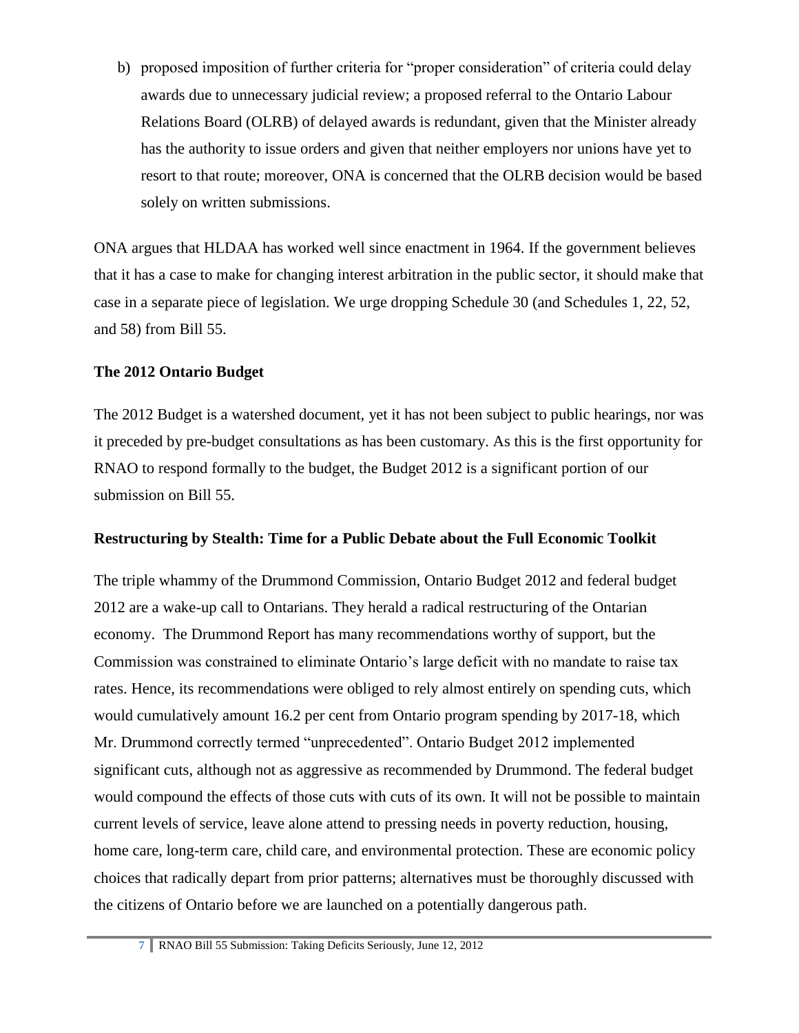b) proposed imposition of further criteria for "proper consideration" of criteria could delay awards due to unnecessary judicial review; a proposed referral to the Ontario Labour Relations Board (OLRB) of delayed awards is redundant, given that the Minister already has the authority to issue orders and given that neither employers nor unions have yet to resort to that route; moreover, ONA is concerned that the OLRB decision would be based solely on written submissions.

ONA argues that HLDAA has worked well since enactment in 1964. If the government believes that it has a case to make for changing interest arbitration in the public sector, it should make that case in a separate piece of legislation. We urge dropping Schedule 30 (and Schedules 1, 22, 52, and 58) from Bill 55.

## **The 2012 Ontario Budget**

The 2012 Budget is a watershed document, yet it has not been subject to public hearings, nor was it preceded by pre-budget consultations as has been customary. As this is the first opportunity for RNAO to respond formally to the budget, the Budget 2012 is a significant portion of our submission on Bill 55.

#### **Restructuring by Stealth: Time for a Public Debate about the Full Economic Toolkit**

The triple whammy of the Drummond Commission, Ontario Budget 2012 and federal budget 2012 are a wake-up call to Ontarians. They herald a radical restructuring of the Ontarian economy. The Drummond Report has many recommendations worthy of support, but the Commission was constrained to eliminate Ontario's large deficit with no mandate to raise tax rates. Hence, its recommendations were obliged to rely almost entirely on spending cuts, which would cumulatively amount 16.2 per cent from Ontario program spending by 2017-18, which Mr. Drummond correctly termed "unprecedented". Ontario Budget 2012 implemented significant cuts, although not as aggressive as recommended by Drummond. The federal budget would compound the effects of those cuts with cuts of its own. It will not be possible to maintain current levels of service, leave alone attend to pressing needs in poverty reduction, housing, home care, long-term care, child care, and environmental protection. These are economic policy choices that radically depart from prior patterns; alternatives must be thoroughly discussed with the citizens of Ontario before we are launched on a potentially dangerous path.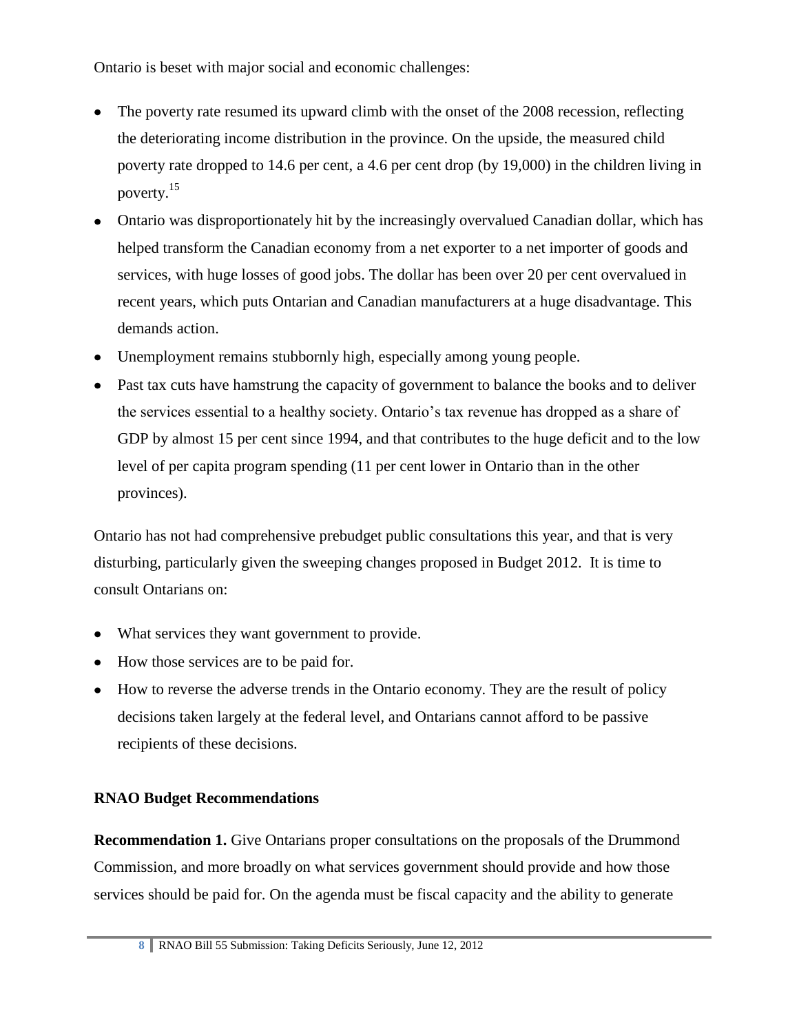Ontario is beset with major social and economic challenges:

- The poverty rate resumed its upward climb with the onset of the 2008 recession, reflecting the deteriorating income distribution in the province. On the upside, the measured child poverty rate dropped to 14.6 per cent, a 4.6 per cent drop (by 19,000) in the children living in poverty. 15
- Ontario was disproportionately hit by the increasingly overvalued Canadian dollar, which has helped transform the Canadian economy from a net exporter to a net importer of goods and services, with huge losses of good jobs. The dollar has been over 20 per cent overvalued in recent years, which puts Ontarian and Canadian manufacturers at a huge disadvantage. This demands action.
- Unemployment remains stubbornly high, especially among young people.
- Past tax cuts have hamstrung the capacity of government to balance the books and to deliver the services essential to a healthy society. Ontario's tax revenue has dropped as a share of GDP by almost 15 per cent since 1994, and that contributes to the huge deficit and to the low level of per capita program spending (11 per cent lower in Ontario than in the other provinces).

Ontario has not had comprehensive prebudget public consultations this year, and that is very disturbing, particularly given the sweeping changes proposed in Budget 2012. It is time to consult Ontarians on:

- What services they want government to provide.
- How those services are to be paid for.
- How to reverse the adverse trends in the Ontario economy. They are the result of policy decisions taken largely at the federal level, and Ontarians cannot afford to be passive recipients of these decisions.

# **RNAO Budget Recommendations**

**Recommendation 1.** Give Ontarians proper consultations on the proposals of the Drummond Commission, and more broadly on what services government should provide and how those services should be paid for. On the agenda must be fiscal capacity and the ability to generate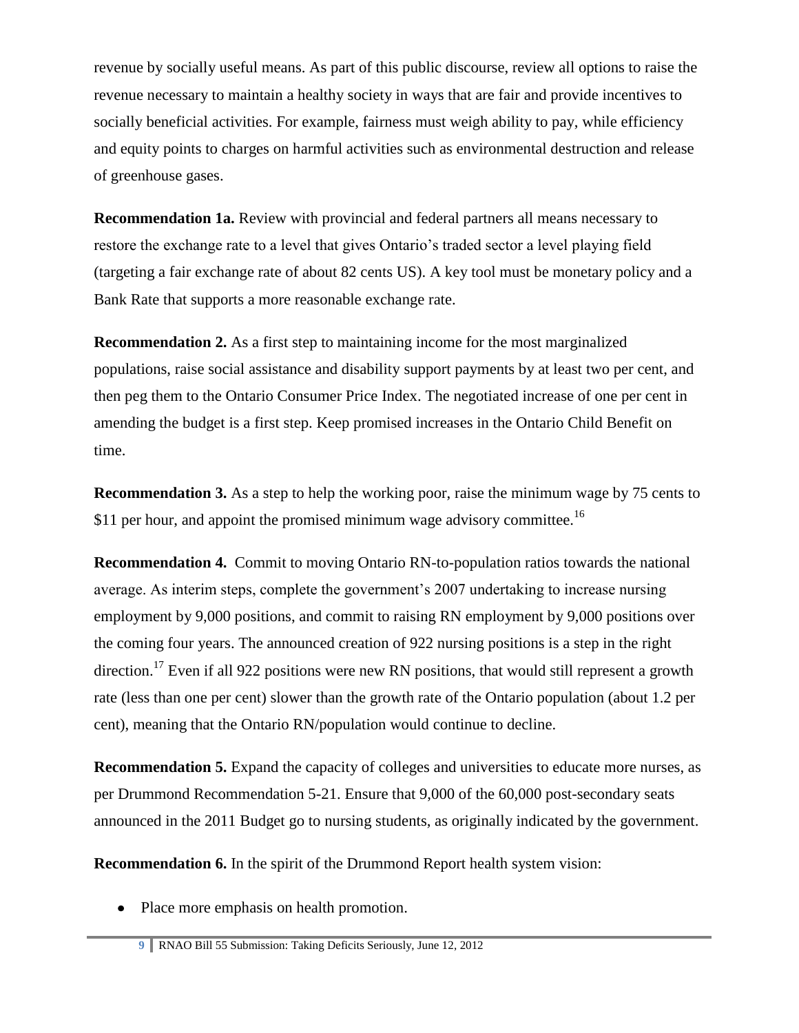revenue by socially useful means. As part of this public discourse, review all options to raise the revenue necessary to maintain a healthy society in ways that are fair and provide incentives to socially beneficial activities. For example, fairness must weigh ability to pay, while efficiency and equity points to charges on harmful activities such as environmental destruction and release of greenhouse gases.

**Recommendation 1a.** Review with provincial and federal partners all means necessary to restore the exchange rate to a level that gives Ontario's traded sector a level playing field (targeting a fair exchange rate of about 82 cents US). A key tool must be monetary policy and a Bank Rate that supports a more reasonable exchange rate.

**Recommendation 2.** As a first step to maintaining income for the most marginalized populations, raise social assistance and disability support payments by at least two per cent, and then peg them to the Ontario Consumer Price Index. The negotiated increase of one per cent in amending the budget is a first step. Keep promised increases in the Ontario Child Benefit on time.

**Recommendation 3.** As a step to help the working poor, raise the minimum wage by 75 cents to \$11 per hour, and appoint the promised minimum wage advisory committee.<sup>16</sup>

**Recommendation 4.** Commit to moving Ontario RN-to-population ratios towards the national average. As interim steps, complete the government's 2007 undertaking to increase nursing employment by 9,000 positions, and commit to raising RN employment by 9,000 positions over the coming four years. The announced creation of 922 nursing positions is a step in the right direction.<sup>17</sup> Even if all 922 positions were new RN positions, that would still represent a growth rate (less than one per cent) slower than the growth rate of the Ontario population (about 1.2 per cent), meaning that the Ontario RN/population would continue to decline.

**Recommendation 5.** Expand the capacity of colleges and universities to educate more nurses, as per Drummond Recommendation 5-21. Ensure that 9,000 of the 60,000 post-secondary seats announced in the 2011 Budget go to nursing students, as originally indicated by the government.

**Recommendation 6.** In the spirit of the Drummond Report health system vision:

• Place more emphasis on health promotion.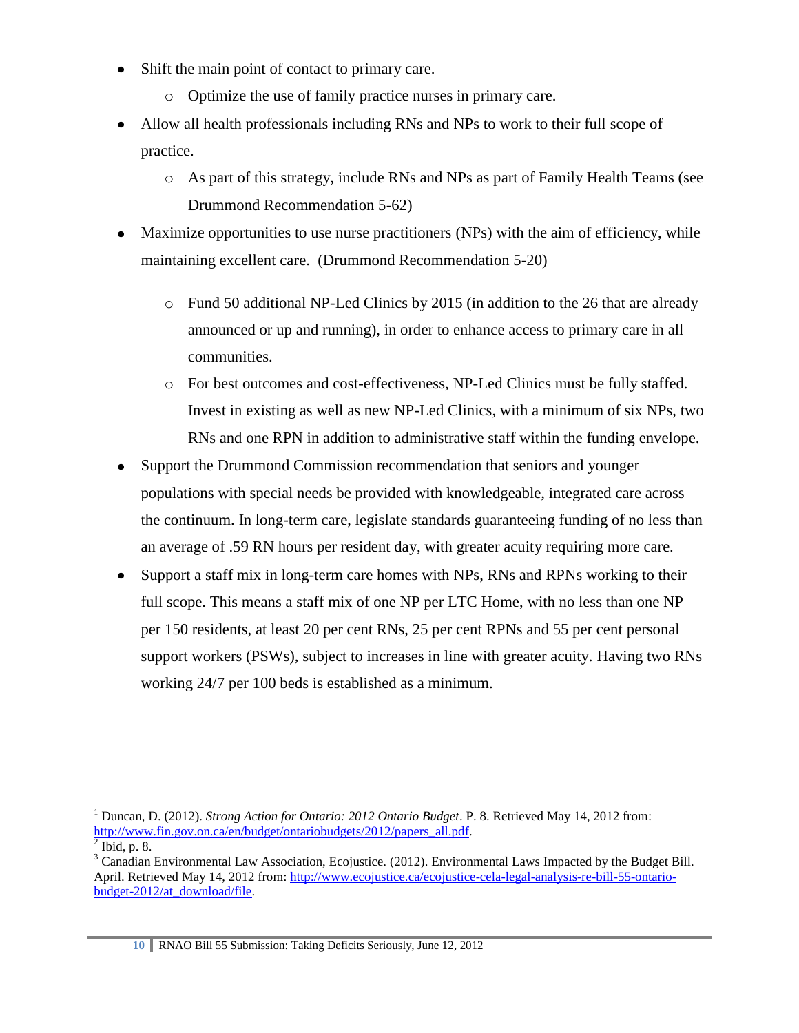- Shift the main point of contact to primary care.  $\bullet$ 
	- o Optimize the use of family practice nurses in primary care.
- Allow all health professionals including RNs and NPs to work to their full scope of practice.
	- o As part of this strategy, include RNs and NPs as part of Family Health Teams (see Drummond Recommendation 5-62)
- Maximize opportunities to use nurse practitioners (NPs) with the aim of efficiency, while maintaining excellent care. (Drummond Recommendation 5-20)
	- $\circ$  Fund 50 additional NP-Led Clinics by 2015 (in addition to the 26 that are already announced or up and running), in order to enhance access to primary care in all communities.
	- o For best outcomes and cost-effectiveness, NP-Led Clinics must be fully staffed. Invest in existing as well as new NP-Led Clinics, with a minimum of six NPs, two RNs and one RPN in addition to administrative staff within the funding envelope.
- Support the Drummond Commission recommendation that seniors and younger populations with special needs be provided with knowledgeable, integrated care across the continuum. In long-term care, legislate standards guaranteeing funding of no less than an average of .59 RN hours per resident day, with greater acuity requiring more care.
- Support a staff mix in long-term care homes with NPs, RNs and RPNs working to their full scope. This means a staff mix of one NP per LTC Home, with no less than one NP per 150 residents, at least 20 per cent RNs, 25 per cent RPNs and 55 per cent personal support workers (PSWs), subject to increases in line with greater acuity. Having two RNs working 24/7 per 100 beds is established as a minimum.

 $\overline{a}$ 

<sup>1</sup> Duncan, D. (2012). *Strong Action for Ontario: 2012 Ontario Budget*. P. 8. Retrieved May 14, 2012 from: [http://www.fin.gov.on.ca/en/budget/ontariobudgets/2012/papers\\_all.pdf.](http://www.fin.gov.on.ca/en/budget/ontariobudgets/2012/papers_all.pdf)

 $<sup>2</sup>$  Ibid, p. 8.</sup>

 $3$  Canadian Environmental Law Association, Ecojustice. (2012). Environmental Laws Impacted by the Budget Bill. April. Retrieved May 14, 2012 from: [http://www.ecojustice.ca/ecojustice-cela-legal-analysis-re-bill-55-ontario](http://www.ecojustice.ca/ecojustice-cela-legal-analysis-re-bill-55-ontario-budget-2012/at_download/file)[budget-2012/at\\_download/file.](http://www.ecojustice.ca/ecojustice-cela-legal-analysis-re-bill-55-ontario-budget-2012/at_download/file)